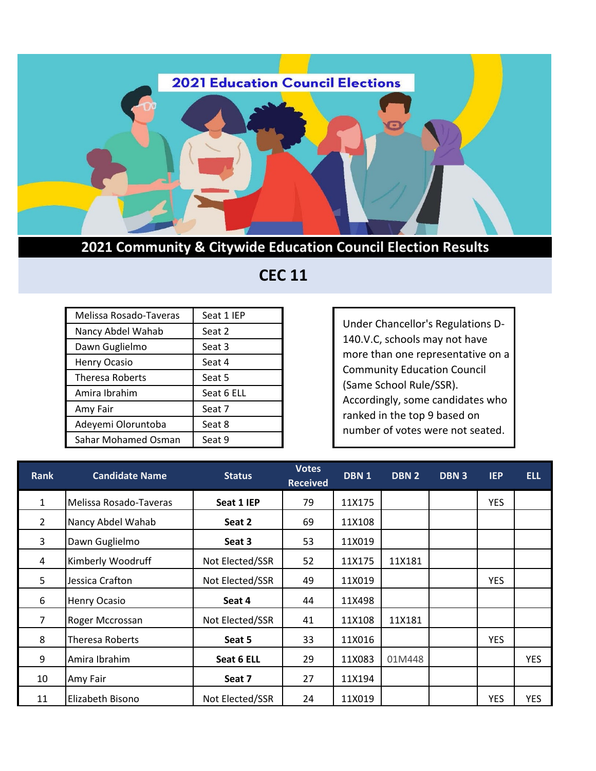

## **2021 Community & Citywide Education Council Election Results**

| Melissa Rosado-Taveras | Seat 1 IEP |  |  |
|------------------------|------------|--|--|
| Nancy Abdel Wahab      | Seat 2     |  |  |
| Dawn Guglielmo         | Seat 3     |  |  |
| Henry Ocasio           | Seat 4     |  |  |
| <b>Theresa Roberts</b> | Seat 5     |  |  |
| Amira Ibrahim          | Seat 6 ELL |  |  |
| Amy Fair               | Seat 7     |  |  |
| Adeyemi Oloruntoba     | Seat 8     |  |  |
| Sahar Mohamed Osman    | Seat 9     |  |  |

## **CEC 11**

Under Chancellor's Regulations D-140.V.C, schools may not have more than one representative on a Community Education Council (Same School Rule/SSR). Accordingly, some candidates who ranked in the top 9 based on number of votes were not seated.

| <b>Rank</b>    | <b>Candidate Name</b>  | <b>Status</b>   | <b>Votes</b><br><b>Received</b> | DBN <sub>1</sub> | DBN 2  | DBN 3 | <b>IEP</b> | <b>ELL</b> |
|----------------|------------------------|-----------------|---------------------------------|------------------|--------|-------|------------|------------|
| 1              | Melissa Rosado-Taveras | Seat 1 IEP      | 79                              | 11X175           |        |       | <b>YES</b> |            |
| $\overline{2}$ | Nancy Abdel Wahab      | Seat 2          | 69                              | 11X108           |        |       |            |            |
| 3              | Dawn Guglielmo         | Seat 3          | 53                              | 11X019           |        |       |            |            |
| 4              | Kimberly Woodruff      | Not Elected/SSR | 52                              | 11X175           | 11X181 |       |            |            |
| 5              | Jessica Crafton        | Not Elected/SSR | 49                              | 11X019           |        |       | <b>YES</b> |            |
| 6              | <b>Henry Ocasio</b>    | Seat 4          | 44                              | 11X498           |        |       |            |            |
| $\overline{7}$ | Roger Mccrossan        | Not Elected/SSR | 41                              | 11X108           | 11X181 |       |            |            |
| 8              | Theresa Roberts        | Seat 5          | 33                              | 11X016           |        |       | <b>YES</b> |            |
| 9              | Amira Ibrahim          | Seat 6 ELL      | 29                              | 11X083           | 01M448 |       |            | <b>YES</b> |
| 10             | Amy Fair               | Seat 7          | 27                              | 11X194           |        |       |            |            |
| 11             | Elizabeth Bisono       | Not Elected/SSR | 24                              | 11X019           |        |       | <b>YES</b> | YES        |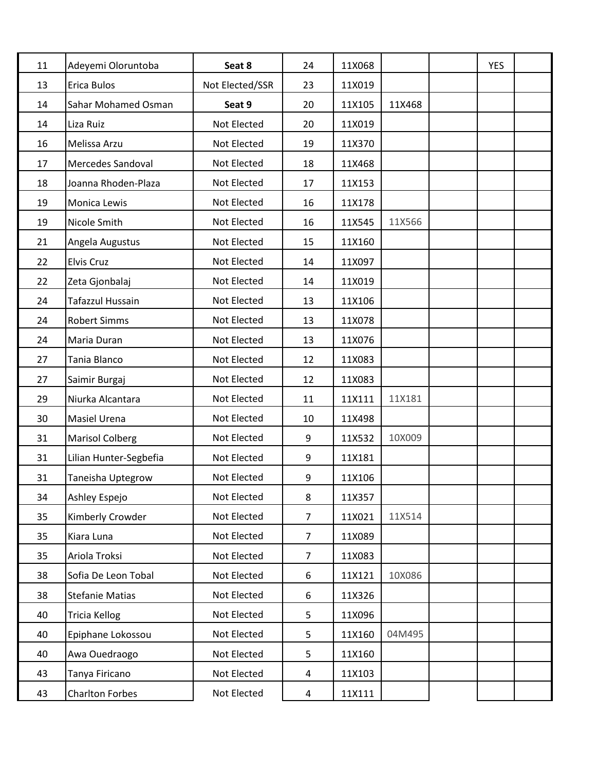| 11 | Adeyemi Oloruntoba         | Seat 8          | 24             | 11X068 |        | <b>YES</b> |  |
|----|----------------------------|-----------------|----------------|--------|--------|------------|--|
| 13 | <b>Erica Bulos</b>         | Not Elected/SSR | 23             | 11X019 |        |            |  |
| 14 | <b>Sahar Mohamed Osman</b> | Seat 9          | 20             | 11X105 | 11X468 |            |  |
| 14 | Liza Ruiz                  | Not Elected     | 20             | 11X019 |        |            |  |
| 16 | Melissa Arzu               | Not Elected     | 19             | 11X370 |        |            |  |
| 17 | Mercedes Sandoval          | Not Elected     | 18             | 11X468 |        |            |  |
| 18 | Joanna Rhoden-Plaza        | Not Elected     | 17             | 11X153 |        |            |  |
| 19 | Monica Lewis               | Not Elected     | 16             | 11X178 |        |            |  |
| 19 | Nicole Smith               | Not Elected     | 16             | 11X545 | 11X566 |            |  |
| 21 | Angela Augustus            | Not Elected     | 15             | 11X160 |        |            |  |
| 22 | <b>Elvis Cruz</b>          | Not Elected     | 14             | 11X097 |        |            |  |
| 22 | Zeta Gjonbalaj             | Not Elected     | 14             | 11X019 |        |            |  |
| 24 | Tafazzul Hussain           | Not Elected     | 13             | 11X106 |        |            |  |
| 24 | <b>Robert Simms</b>        | Not Elected     | 13             | 11X078 |        |            |  |
| 24 | Maria Duran                | Not Elected     | 13             | 11X076 |        |            |  |
| 27 | Tania Blanco               | Not Elected     | 12             | 11X083 |        |            |  |
| 27 | Saimir Burgaj              | Not Elected     | 12             | 11X083 |        |            |  |
| 29 | Niurka Alcantara           | Not Elected     | 11             | 11X111 | 11X181 |            |  |
| 30 | <b>Masiel Urena</b>        | Not Elected     | 10             | 11X498 |        |            |  |
| 31 | <b>Marisol Colberg</b>     | Not Elected     | 9              | 11X532 | 10X009 |            |  |
| 31 | Lilian Hunter-Segbefia     | Not Elected     | 9              | 11X181 |        |            |  |
| 31 | Taneisha Uptegrow          | Not Elected     | 9              | 11X106 |        |            |  |
| 34 | Ashley Espejo              | Not Elected     | 8              | 11X357 |        |            |  |
| 35 | Kimberly Crowder           | Not Elected     | $\overline{7}$ | 11X021 | 11X514 |            |  |
| 35 | Kiara Luna                 | Not Elected     | $\overline{7}$ | 11X089 |        |            |  |
| 35 | Ariola Troksi              | Not Elected     | $\overline{7}$ | 11X083 |        |            |  |
| 38 | Sofia De Leon Tobal        | Not Elected     | 6              | 11X121 | 10X086 |            |  |
| 38 | <b>Stefanie Matias</b>     | Not Elected     | 6              | 11X326 |        |            |  |
| 40 | Tricia Kellog              | Not Elected     | 5              | 11X096 |        |            |  |
| 40 | Epiphane Lokossou          | Not Elected     | 5              | 11X160 | 04M495 |            |  |
| 40 | Awa Ouedraogo              | Not Elected     | 5              | 11X160 |        |            |  |
| 43 | Tanya Firicano             | Not Elected     | 4              | 11X103 |        |            |  |
| 43 | <b>Charlton Forbes</b>     | Not Elected     | 4              | 11X111 |        |            |  |